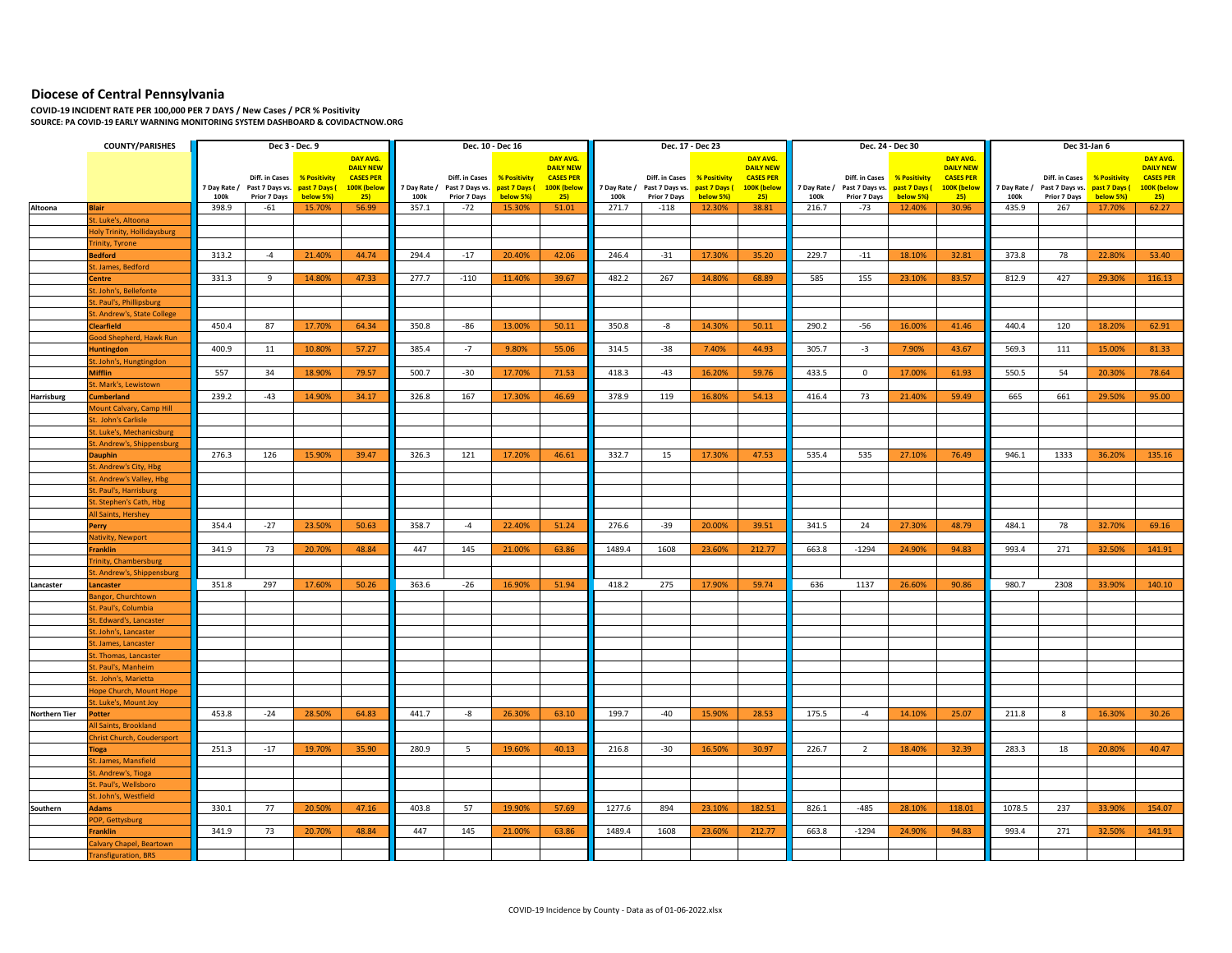## **Diocese of Central Pennsylvania**

**COVID-19 INCIDENT RATE PER 100,000 PER 7 DAYS / New Cases / PCR % Positivity SOURCE: PA COVID-19 EARLY WARNING MONITORING SYSTEM DASHBOARD & COVIDACTNOW.ORG**

|                      | <b>COUNTY/PARISHES</b>                           |              | Dec 3 - Dec. 9                |                             |                                 |              | Dec. 10 - Dec 16                                |              |                                 |            | Dec. 17 - Dec 23                                             |           |                                 |              |                                                              | Dec. 24 - Dec 30 |                                 | Dec 31-Jan 6 |                                                 |                     |                                 |
|----------------------|--------------------------------------------------|--------------|-------------------------------|-----------------------------|---------------------------------|--------------|-------------------------------------------------|--------------|---------------------------------|------------|--------------------------------------------------------------|-----------|---------------------------------|--------------|--------------------------------------------------------------|------------------|---------------------------------|--------------|-------------------------------------------------|---------------------|---------------------------------|
|                      |                                                  |              |                               |                             | DAY AVG.                        |              |                                                 |              | DAY AVG.                        |            |                                                              |           | DAY AVG.                        |              |                                                              |                  | DAY AVG.                        |              |                                                 |                     | DAY AVG.                        |
|                      |                                                  |              |                               |                             | <b>DAILY NEW</b>                |              |                                                 |              | <b>DAILY NEW</b>                |            |                                                              |           | <b>DAILY NEW</b>                |              |                                                              |                  | <b>DAILY NEW</b>                |              |                                                 |                     | <b>DAILY NEW</b>                |
|                      |                                                  | 7 Day Rate / | Past 7 Days vs. past 7 Days ( | Diff. in Cases % Positivity | <b>CASES PER</b><br>100K (below | 7 Day Rate / | Diff. in Cases<br>Past 7 Days vs. past 7 Days ( | % Positivity | <b>CASES PER</b><br>100K (below | 7 Day Rate | Diff. in Cases % Positivity<br>Past 7 Days vs. past 7 Days ( |           | <b>CASES PER</b><br>100K (below | 7 Day Rate / | Diff. in Cases % Positivity<br>Past 7 Days vs. past 7 Days ( |                  | <b>CASES PER</b><br>100K (below | 7 Day Rate / | Diff. in Cases<br>Past 7 Days vs. past 7 Days ( | <b>% Positivity</b> | <b>CASES PER</b><br>100K (below |
|                      |                                                  | 100k         | Prior 7 Days                  | below 5%)                   | 25                              | 100k         | Prior 7 Days                                    | below 5%)    | 25                              | 100k       | Prior 7 Days                                                 | below 5%) | 25)                             | 100k         | <b>Prior 7 Days</b>                                          | below 5%)        | 25)                             | 100k         | Prior 7 Days                                    | below 5%)           | 25)                             |
| Altoona              | <b>Blair</b>                                     | 398.9        | $-61$                         | 15.70%                      | 56.99                           | 357.1        | $-72$                                           | 15.30%       | 51.01                           | 271.7      | $-118$                                                       | 12.30%    | 38.81                           | 216.7        | $-73$                                                        | 12.40%           | 30.96                           | 435.9        | 267                                             | 17.70%              | 62.27                           |
|                      | St. Luke's, Altoona                              |              |                               |                             |                                 |              |                                                 |              |                                 |            |                                                              |           |                                 |              |                                                              |                  |                                 |              |                                                 |                     |                                 |
|                      | <b>Holy Trinity, Hollidaysburg</b>               |              |                               |                             |                                 |              |                                                 |              |                                 |            |                                                              |           |                                 |              |                                                              |                  |                                 |              |                                                 |                     |                                 |
|                      | <b>Trinity, Tyrone</b>                           |              |                               |                             |                                 |              |                                                 |              |                                 |            |                                                              |           |                                 |              |                                                              |                  |                                 |              |                                                 |                     |                                 |
|                      | <b>Bedford</b>                                   | 313.2        | $-4$                          | 21.40%                      | 44.74                           | 294.4        | $-17$                                           | 20.40%       | 42.06                           | 246.4      | $-31$                                                        | 17.30%    | 35.20                           | 229.7        | $-11$                                                        | 18.10%           | 32.81                           | 373.8        | 78                                              | 22.80%              | 53.40                           |
|                      | St. James, Bedford                               |              |                               |                             |                                 |              |                                                 |              |                                 |            |                                                              |           |                                 |              |                                                              |                  |                                 |              |                                                 |                     |                                 |
|                      | Centre                                           | 331.3        | 9                             | 14.80%                      | 47.33                           | 277.7        | $-110$                                          | 11.40%       | 39.67                           | 482.2      | 267                                                          | 14.80%    | 68.89                           | 585          | 155                                                          | 23.10%           | 83.57                           | 812.9        | 427                                             | 29.30%              | 116.13                          |
|                      | St. John's, Bellefonte                           |              |                               |                             |                                 |              |                                                 |              |                                 |            |                                                              |           |                                 |              |                                                              |                  |                                 |              |                                                 |                     |                                 |
|                      | St. Paul's, Phillipsburg                         |              |                               |                             |                                 |              |                                                 |              |                                 |            |                                                              |           |                                 |              |                                                              |                  |                                 |              |                                                 |                     |                                 |
|                      | St. Andrew's, State College                      |              |                               |                             |                                 |              |                                                 |              |                                 |            |                                                              |           |                                 |              |                                                              |                  |                                 |              |                                                 |                     |                                 |
|                      | <b>Clearfield</b>                                | 450.4        | 87                            | 17.70%                      | 64.34                           | 350.8        | -86                                             | 13.00%       | 50.11                           | 350.8      | -8                                                           | 14.30%    | 50.11                           | 290.2        | $-56$                                                        | 16.00%           | 41.46                           | 440.4        | 120                                             | 18.20%              | 62.91                           |
|                      | Good Shepherd, Hawk Run                          |              |                               |                             |                                 |              |                                                 |              |                                 |            |                                                              |           |                                 |              |                                                              |                  |                                 |              |                                                 |                     |                                 |
|                      | <b>Huntingdon</b>                                | 400.9        | 11                            | 10.80%                      | 57.27                           | 385.4        | $-7$                                            | 9.80%        | 55.06                           | 314.5      | $-38$                                                        | 7.40%     | 44.93                           | 305.7        | $-3$                                                         | 7.90%            | 43.67                           | 569.3        | 111                                             | 15.00%              | 81.33                           |
|                      | St. John's, Hungtingdon                          |              |                               |                             |                                 |              |                                                 |              |                                 |            |                                                              |           |                                 |              |                                                              |                  |                                 |              |                                                 |                     |                                 |
|                      | <b>Mifflin</b>                                   | 557          | 34                            | 18.90%                      | 79.57                           | 500.7        | $-30$                                           | 17.70%       | 71.53                           | 418.3      | $-43$                                                        | 16.20%    | 59.76                           | 433.5        | $\mathbf 0$                                                  | 17.00%           | 61.93                           | 550.5        | 54                                              | 20.30%              | 78.64                           |
|                      | St. Mark's, Lewistown                            |              |                               |                             |                                 |              |                                                 |              |                                 |            |                                                              |           |                                 |              |                                                              |                  |                                 |              |                                                 |                     |                                 |
| Harrisburg           | <b>Cumberland</b>                                | 239.2        | $-43$                         | 14.90%                      | 34.17                           | 326.8        | 167                                             | 17.30%       | 46.69                           | 378.9      | 119                                                          | 16.80%    | 54.13                           | 416.4        | 73                                                           | 21.40%           | 59.49                           | 665          | 661                                             | 29.50%              | 95.00                           |
|                      | Mount Calvary, Camp Hill                         |              |                               |                             |                                 |              |                                                 |              |                                 |            |                                                              |           |                                 |              |                                                              |                  |                                 |              |                                                 |                     |                                 |
|                      | St. John's Carlisle<br>St. Luke's, Mechanicsburg |              |                               |                             |                                 |              |                                                 |              |                                 |            |                                                              |           |                                 |              |                                                              |                  |                                 |              |                                                 |                     |                                 |
|                      |                                                  |              |                               |                             |                                 |              |                                                 |              |                                 |            |                                                              |           |                                 |              |                                                              |                  |                                 |              |                                                 |                     |                                 |
|                      | St. Andrew's, Shippensburg<br><b>Dauphin</b>     | 276.3        | 126                           | 15.90%                      | 39.47                           | 326.3        | 121                                             | 17.20%       | 46.61                           | 332.7      | 15                                                           | 17.30%    | 47.53                           | 535.4        | 535                                                          | 27.10%           | 76.49                           | 946.1        | 1333                                            | 36.20%              | 135.16                          |
|                      | St. Andrew's City, Hbg                           |              |                               |                             |                                 |              |                                                 |              |                                 |            |                                                              |           |                                 |              |                                                              |                  |                                 |              |                                                 |                     |                                 |
|                      | St. Andrew's Valley, Hbg                         |              |                               |                             |                                 |              |                                                 |              |                                 |            |                                                              |           |                                 |              |                                                              |                  |                                 |              |                                                 |                     |                                 |
|                      | St. Paul's, Harrisburg                           |              |                               |                             |                                 |              |                                                 |              |                                 |            |                                                              |           |                                 |              |                                                              |                  |                                 |              |                                                 |                     |                                 |
|                      | St. Stephen's Cath, Hbg                          |              |                               |                             |                                 |              |                                                 |              |                                 |            |                                                              |           |                                 |              |                                                              |                  |                                 |              |                                                 |                     |                                 |
|                      | All Saints, Hershey                              |              |                               |                             |                                 |              |                                                 |              |                                 |            |                                                              |           |                                 |              |                                                              |                  |                                 |              |                                                 |                     |                                 |
|                      | Perry                                            | 354.4        | $-27$                         | 23.50%                      | 50.63                           | 358.7        | $-4$                                            | 22.40%       | 51.24                           | 276.6      | $-39$                                                        | 20.00%    | 39.51                           | 341.5        | 24                                                           | 27.30%           | 48.79                           | 484.1        | 78                                              | 32.70%              | 69.16                           |
|                      | Nativity, Newport                                |              |                               |                             |                                 |              |                                                 |              |                                 |            |                                                              |           |                                 |              |                                                              |                  |                                 |              |                                                 |                     |                                 |
|                      | <b>Franklin</b>                                  | 341.9        | 73                            | 20.70%                      | 48.84                           | 447          | 145                                             | 21.00%       | 63.86                           | 1489.4     | 1608                                                         | 23.60%    | 212.77                          | 663.8        | $-1294$                                                      | 24.90%           | 94.83                           | 993.4        | 271                                             | 32.50%              | 141.91                          |
|                      | <b>Frinity, Chambersburg</b>                     |              |                               |                             |                                 |              |                                                 |              |                                 |            |                                                              |           |                                 |              |                                                              |                  |                                 |              |                                                 |                     |                                 |
|                      | St. Andrew's, Shippensburg                       |              |                               |                             |                                 |              |                                                 |              |                                 |            |                                                              |           |                                 |              |                                                              |                  |                                 |              |                                                 |                     |                                 |
| Lancaster            | Lancaster                                        | 351.8        | 297                           | 17.60%                      | 50.26                           | 363.6        | $-26$                                           | 16.90%       | 51.94                           | 418.2      | 275                                                          | 17.90%    | 59.74                           | 636          | 1137                                                         | 26.60%           | 90.86                           | 980.7        | 2308                                            | 33.90%              | 140.10                          |
|                      | <b>Bangor, Churchtown</b>                        |              |                               |                             |                                 |              |                                                 |              |                                 |            |                                                              |           |                                 |              |                                                              |                  |                                 |              |                                                 |                     |                                 |
|                      | it. Paul's, Columbia                             |              |                               |                             |                                 |              |                                                 |              |                                 |            |                                                              |           |                                 |              |                                                              |                  |                                 |              |                                                 |                     |                                 |
|                      | St. Edward's, Lancaster                          |              |                               |                             |                                 |              |                                                 |              |                                 |            |                                                              |           |                                 |              |                                                              |                  |                                 |              |                                                 |                     |                                 |
|                      | St. John's, Lancaster                            |              |                               |                             |                                 |              |                                                 |              |                                 |            |                                                              |           |                                 |              |                                                              |                  |                                 |              |                                                 |                     |                                 |
|                      | t. James, Lancaster                              |              |                               |                             |                                 |              |                                                 |              |                                 |            |                                                              |           |                                 |              |                                                              |                  |                                 |              |                                                 |                     |                                 |
|                      | St. Thomas, Lancaster                            |              |                               |                             |                                 |              |                                                 |              |                                 |            |                                                              |           |                                 |              |                                                              |                  |                                 |              |                                                 |                     |                                 |
|                      | t. Paul's, Manheim                               |              |                               |                             |                                 |              |                                                 |              |                                 |            |                                                              |           |                                 |              |                                                              |                  |                                 |              |                                                 |                     |                                 |
|                      | St. John's, Marietta                             |              |                               |                             |                                 |              |                                                 |              |                                 |            |                                                              |           |                                 |              |                                                              |                  |                                 |              |                                                 |                     |                                 |
|                      | lope Church, Mount Hope                          |              |                               |                             |                                 |              |                                                 |              |                                 |            |                                                              |           |                                 |              |                                                              |                  |                                 |              |                                                 |                     |                                 |
|                      | St. Luke's, Mount Joy                            |              |                               |                             |                                 |              |                                                 |              |                                 |            |                                                              |           |                                 |              |                                                              |                  |                                 |              |                                                 |                     |                                 |
| <b>Northern Tier</b> | <b>Potter</b>                                    | 453.8        | $-24$                         | 28.50%                      | 64.83                           | 441.7        | -8                                              | 26.30%       | 63.10                           | 199.7      | $-40$                                                        | 15.90%    | 28.53                           | 175.5        | $-4$                                                         | 14.10%           | 25.07                           | 211.8        | 8                                               | 16.30%              | 30.26                           |
|                      | All Saints, Brookland                            |              |                               |                             |                                 |              |                                                 |              |                                 |            |                                                              |           |                                 |              |                                                              |                  |                                 |              |                                                 |                     |                                 |
|                      | <b>Christ Church, Coudersport</b>                |              |                               |                             |                                 |              |                                                 |              |                                 |            |                                                              |           |                                 |              |                                                              |                  |                                 |              |                                                 |                     |                                 |
|                      | Tioga                                            | 251.3        | $-17$                         | 19.70%                      | 35.90                           | 280.9        | 5                                               | 19.60%       | 40.13                           | 216.8      | $-30$                                                        | 16.50%    | 30.97                           | 226.7        | $\overline{2}$                                               | 18.40%           | 32.39                           | 283.3        | 18                                              | 20.80%              | 40.47                           |
|                      | St. James, Mansfield                             |              |                               |                             |                                 |              |                                                 |              |                                 |            |                                                              |           |                                 |              |                                                              |                  |                                 |              |                                                 |                     |                                 |
|                      | St. Andrew's, Tioga                              |              |                               |                             |                                 |              |                                                 |              |                                 |            |                                                              |           |                                 |              |                                                              |                  |                                 |              |                                                 |                     |                                 |
|                      | St. Paul's, Wellsboro                            |              |                               |                             |                                 |              |                                                 |              |                                 |            |                                                              |           |                                 |              |                                                              |                  |                                 |              |                                                 |                     |                                 |
|                      | St. John's, Westfield                            |              |                               |                             |                                 |              |                                                 |              |                                 |            |                                                              |           |                                 |              |                                                              |                  |                                 |              |                                                 |                     |                                 |
| Southern             | <b>Adams</b>                                     | 330.1        | 77                            | 20.50%                      | 47.16                           | 403.8        | 57                                              | 19.90%       | 57.69                           | 1277.6     | 894                                                          | 23.10%    | 182.51                          | 826.1        | $-485$                                                       | 28.10%           | 118.01                          | 1078.5       | 237                                             | 33.90%              | 154.07                          |
|                      | POP, Gettysburg                                  |              |                               |                             |                                 |              |                                                 |              |                                 |            |                                                              |           |                                 |              |                                                              |                  |                                 |              |                                                 |                     |                                 |
|                      | <b>Franklin</b>                                  | 341.9        | 73                            | 20.70%                      | 48.84                           | 447          | 145                                             | 21.00%       | 63.86                           | 1489.4     | 1608                                                         | 23.60%    | 212.77                          | 663.8        | $-1294$                                                      | 24.90%           | 94.83                           | 993.4        | 271                                             | 32.50%              | 141.91                          |
|                      | Calvary Chapel, Beartown                         |              |                               |                             |                                 |              |                                                 |              |                                 |            |                                                              |           |                                 |              |                                                              |                  |                                 |              |                                                 |                     |                                 |
|                      | <b>Transfiguration, BRS</b>                      |              |                               |                             |                                 |              |                                                 |              |                                 |            |                                                              |           |                                 |              |                                                              |                  |                                 |              |                                                 |                     |                                 |